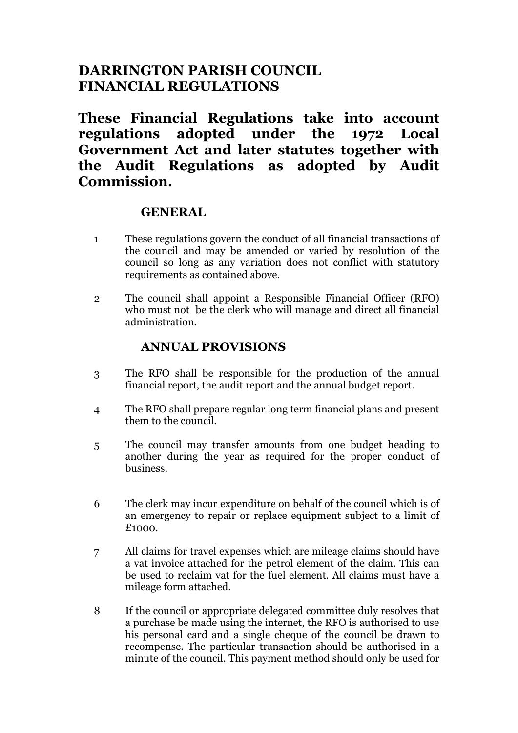# **DARRINGTON PARISH COUNCIL FINANCIAL REGULATIONS**

**These Financial Regulations take into account regulations adopted under the 1972 Local Government Act and later statutes together with the Audit Regulations as adopted by Audit Commission.**

### **GENERAL**

- 1 These regulations govern the conduct of all financial transactions of the council and may be amended or varied by resolution of the council so long as any variation does not conflict with statutory requirements as contained above.
- 2 The council shall appoint a Responsible Financial Officer (RFO) who must not be the clerk who will manage and direct all financial administration.

# **ANNUAL PROVISIONS**

- 3 The RFO shall be responsible for the production of the annual financial report, the audit report and the annual budget report.
- 4 The RFO shall prepare regular long term financial plans and present them to the council.
- 5 The council may transfer amounts from one budget heading to another during the year as required for the proper conduct of business.
- 6 The clerk may incur expenditure on behalf of the council which is of an emergency to repair or replace equipment subject to a limit of £1000.
- 7 All claims for travel expenses which are mileage claims should have a vat invoice attached for the petrol element of the claim. This can be used to reclaim vat for the fuel element. All claims must have a mileage form attached.
- 8 If the council or appropriate delegated committee duly resolves that a purchase be made using the internet, the RFO is authorised to use his personal card and a single cheque of the council be drawn to recompense. The particular transaction should be authorised in a minute of the council. This payment method should only be used for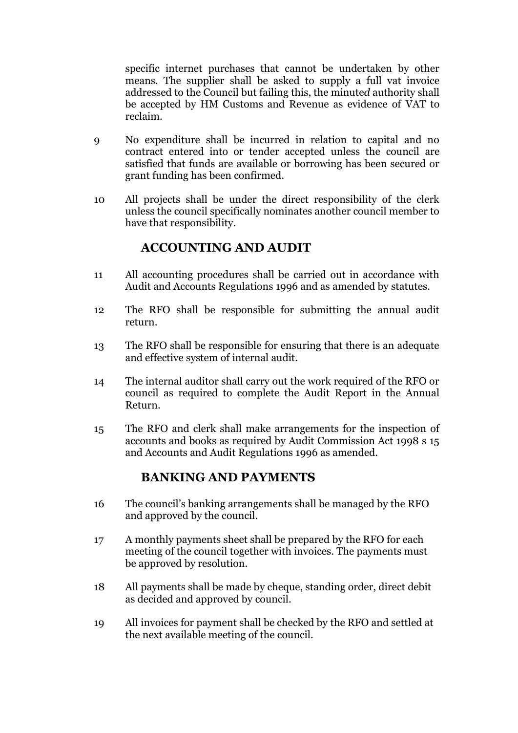specific internet purchases that cannot be undertaken by other means. The supplier shall be asked to supply a full vat invoice addressed to the Council but failing this, the minute*d* authority shall be accepted by HM Customs and Revenue as evidence of VAT to reclaim.

- 9 No expenditure shall be incurred in relation to capital and no contract entered into or tender accepted unless the council are satisfied that funds are available or borrowing has been secured or grant funding has been confirmed.
- 10 All projects shall be under the direct responsibility of the clerk unless the council specifically nominates another council member to have that responsibility.

### **ACCOUNTING AND AUDIT**

- 11 All accounting procedures shall be carried out in accordance with Audit and Accounts Regulations 1996 and as amended by statutes.
- 12 The RFO shall be responsible for submitting the annual audit return.
- 13 The RFO shall be responsible for ensuring that there is an adequate and effective system of internal audit.
- 14 The internal auditor shall carry out the work required of the RFO or council as required to complete the Audit Report in the Annual Return.
- 15 The RFO and clerk shall make arrangements for the inspection of accounts and books as required by Audit Commission Act 1998 s 15 and Accounts and Audit Regulations 1996 as amended.

# **BANKING AND PAYMENTS**

- 16 The council's banking arrangements shall be managed by the RFO and approved by the council.
- 17 A monthly payments sheet shall be prepared by the RFO for each meeting of the council together with invoices. The payments must be approved by resolution.
- 18 All payments shall be made by cheque, standing order, direct debit as decided and approved by council.
- 19 All invoices for payment shall be checked by the RFO and settled at the next available meeting of the council.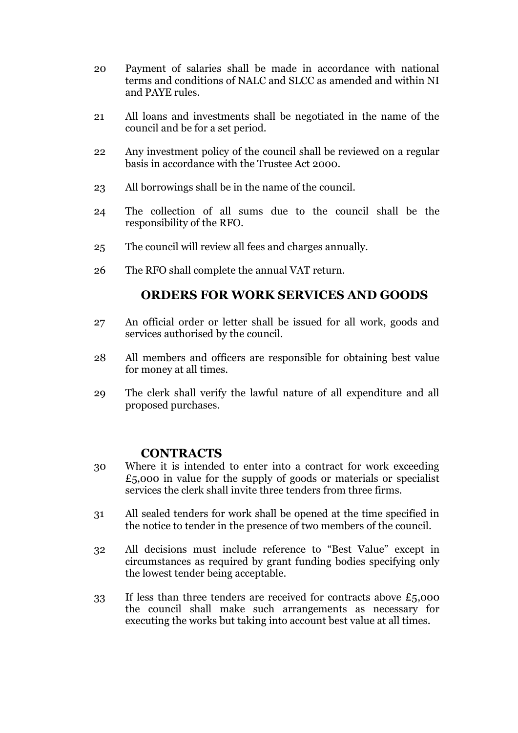- 20 Payment of salaries shall be made in accordance with national terms and conditions of NALC and SLCC as amended and within NI and PAYE rules.
- 21 All loans and investments shall be negotiated in the name of the council and be for a set period.
- 22 Any investment policy of the council shall be reviewed on a regular basis in accordance with the Trustee Act 2000.
- 23 All borrowings shall be in the name of the council.
- 24 The collection of all sums due to the council shall be the responsibility of the RFO.
- 25 The council will review all fees and charges annually.
- 26 The RFO shall complete the annual VAT return.

# **ORDERS FOR WORK SERVICES AND GOODS**

- 27 An official order or letter shall be issued for all work, goods and services authorised by the council.
- 28 All members and officers are responsible for obtaining best value for money at all times.
- 29 The clerk shall verify the lawful nature of all expenditure and all proposed purchases.

#### **CONTRACTS**

- 30 Where it is intended to enter into a contract for work exceeding  $£5,000$  in value for the supply of goods or materials or specialist services the clerk shall invite three tenders from three firms.
- 31 All sealed tenders for work shall be opened at the time specified in the notice to tender in the presence of two members of the council.
- 32 All decisions must include reference to "Best Value" except in circumstances as required by grant funding bodies specifying only the lowest tender being acceptable.
- 33 If less than three tenders are received for contracts above  $£5,000$ the council shall make such arrangements as necessary for executing the works but taking into account best value at all times.